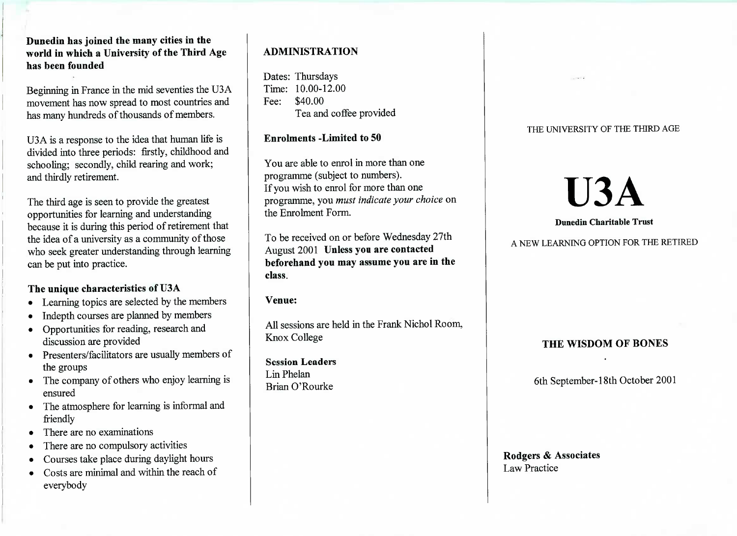**Dunedin has joined the many cities in the world in which a University of the Third Agehas been founded**

Beginning in France in the mid seventies the U3A movement has now spread to most countries andhas many hundreds of thousands of members.

USA is a response to the idea that human life islivided into three periods: firstly, childhood and schooling; secondly, child rearing and work;and thirdly retirement.

The third age is seen to provide the greatest opportunities for learning and understanding because it is during this period of retirement thatthe idea of a university as a community of those who seek greater understanding through learningcan be put into practice.

## **The unique characteristics of U3A**

- Learning topics are selected by the members
- Indepth courses are planned by members
- Opportunities for reading, research anddiscussion are provided
- Presenters/facilitators are usually members of the groups
- The company of others who enjoy learning isensured
- The atmosphere for learning is informal andfriendly
- There are no examinations
- There are no compulsory activities
- Courses take place during daylight hours
- Costs are minimal and within the reach ofeverybody

# **ADMINISTRATION**

Dates: Thursdays $\text{Time: } 10.00 - 12.00$ Fee: \$40.00Lea and coffee provided

## **Enrolments -Limited to 50**

You are able to enrol in more than oneprogramme (subject to numbers). If you wish to enrol for more than one programme, you *must indicate your choice* onthe Enrolment Form.

To be received on or before Wednesday 27thAugust 2001 **Unless you are contacted beforehand you may assume you are in theclass.**

**Venue:**

All sessions are held in the Frank Nichol Room,Knox College

**Session Leaders**Lin PhelanBrian O'Rourke

## THE UNIVERSITY OF THE THIRD AGE

**U3A**

A NEW LEARNING OPTION FOR THE RETIRED

**Dunedin Charitable Trust**

# **THE WISDOM OF BONES**

6th September-18th October 2001

**Rodgers & Associates**Law Practice